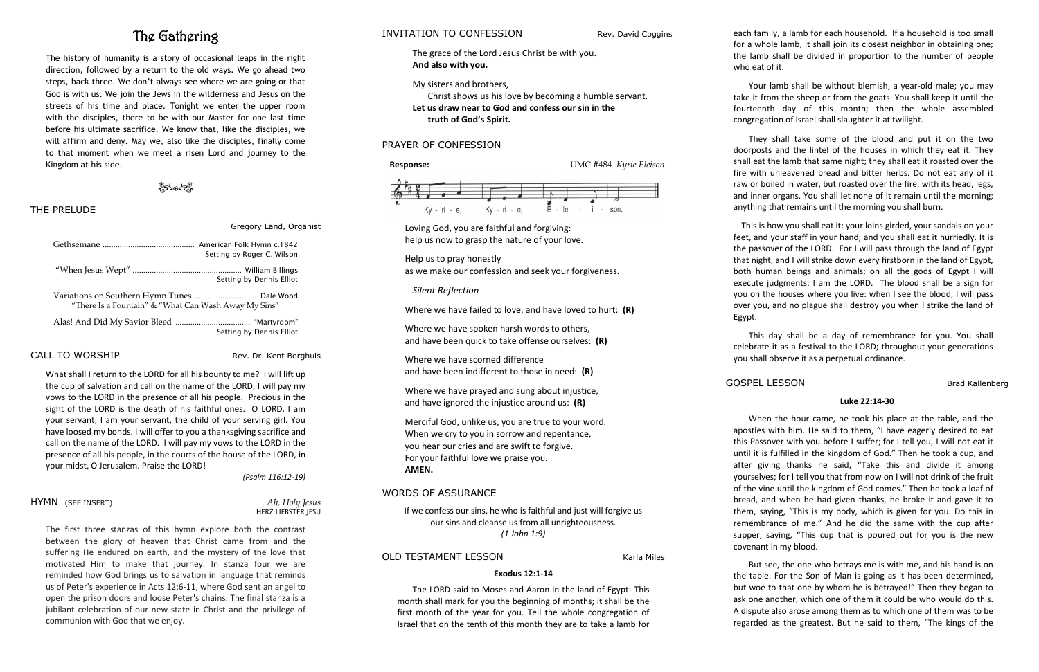# The Gathering

The history of humanity is a story of occasional leaps in the right direction, followed by a return to the old ways. We go ahead two steps, back three. We don't always see where we are going or that God is with us. We join the Jews in the wilderness and Jesus on the streets of his time and place. Tonight we enter the upper room with the disciples, there to be with our Master for one last time before his ultimate sacrifice. We know that, like the disciples, we will affirm and deny. May we, also like the disciples, finally come to that moment when we meet a risen Lord and journey to the Kingdom at his side.

## ▓<del>૽ૺ</del>

#### THE PRELUDE

Gregory Land, Organist

|                                                                                                      | Setting by Roger C. Wilson |
|------------------------------------------------------------------------------------------------------|----------------------------|
|                                                                                                      | Setting by Dennis Elliot   |
| Variations on Southern Hymn Tunes  Dale Wood<br>"There Is a Fountain" & "What Can Wash Away My Sins" |                            |
|                                                                                                      | Setting by Dennis Elliot   |

### CALL TO WORSHIP Rev. Dr. Kent Berghuis

What shall I return to the LORD for all his bounty to me? I will lift up the cup of salvation and call on the name of the LORD, I will pay my vows to the LORD in the presence of all his people. Precious in the sight of the LORD is the death of his faithful ones. O LORD, I am your servant; I am your servant, the child of your serving girl. You have loosed my bonds. I will offer to you a thanksgiving sacrifice and call on the name of the LORD. I will pay my vows to the LORD in the presence of all his people, in the courts of the house of the LORD, in your midst, O Jerusalem. Praise the LORD!

*(Psalm 116:12-19)*

#### HYMN (SEE INSERT) *Ah, Holy Jesus*

HERZ LIEBSTER JESU

The first three stanzas of this hymn explore both the contrast between the glory of heaven that Christ came from and the suffering He endured on earth, and the mystery of the love that motivated Him to make that journey. In stanza four we are reminded how God brings us to salvation in language that reminds us of Peter's experience in Acts 12:6-11, where God sent an angel to open the prison doors and loose Peter's chains. The final stanza is a jubilant celebration of our new state in Christ and the privilege of communion with God that we enjoy.

#### INVITATION TO CONFESSION Rev. David Coggins

The grace of the Lord Jesus Christ be with you. **And also with you.**

My sisters and brothers,

Christ shows us his love by becoming a humble servant.

**Let us draw near to God and confess our sin in the truth of God's Spirit.**

### PRAYER OF CONFESSION



Loving God, you are faithful and forgiving: help us now to grasp the nature of your love.

Help us to pray honestly as we make our confession and seek your forgiveness.

#### *Silent Reflection*

Where we have failed to love, and have loved to hurt: **(R)**

Where we have spoken harsh words to others, and have been quick to take offense ourselves: **(R)**

Where we have scorned difference and have been indifferent to those in need: **(R)**

Where we have prayed and sung about injustice, and have ignored the injustice around us: **(R)**

Merciful God, unlike us, you are true to your word. When we cry to you in sorrow and repentance, you hear our cries and are swift to forgive. For your faithful love we praise you. **AMEN.**

#### WORDS OF ASSURANCE

If we confess our sins, he who is faithful and just will forgive us our sins and cleanse us from all unrighteousness. *(1 John 1:9)*

#### OLD TESTAMENT LESSON Karla Miles

#### **Exodus 12:1-14**

The LORD said to Moses and Aaron in the land of Egypt: This month shall mark for you the beginning of months; it shall be the first month of the year for you. Tell the whole congregation of Israel that on the tenth of this month they are to take a lamb for

each family, a lamb for each household. If a household is too small for a whole lamb, it shall join its closest neighbor in obtaining one; the lamb shall be divided in proportion to the number of people

who eat of it.

Your lamb shall be without blemish, a year-old male; you may take it from the sheep or from the goats. You shall keep it until the fourteenth day of this month; then the whole assembled congregation of Israel shall slaughter it at twilight.

They shall take some of the blood and put it on the two doorposts and the lintel of the houses in which they eat it. They shall eat the lamb that same night; they shall eat it roasted over the fire with unleavened bread and bitter herbs. Do not eat any of it raw or boiled in water, but roasted over the fire, with its head, legs, and inner organs. You shall let none of it remain until the morning; anything that remains until the morning you shall burn.

This is how you shall eat it: your loins girded, your sandals on your feet, and your staff in your hand; and you shall eat it hurriedly. It is the passover of the LORD. For I will pass through the land of Egypt that night, and I will strike down every firstborn in the land of Egypt, both human beings and animals; on all the gods of Egypt I will execute judgments: I am the LORD. The blood shall be a sign for you on the houses where you live: when I see the blood, I will pass over you, and no plague shall destroy you when I strike the land of

Egypt.

This day shall be a day of remembrance for you. You shall celebrate it as a festival to the LORD; throughout your generations you shall observe it as a perpetual ordinance.

GOSPEL LESSON Brad Kallenberg

#### **Luke 22:14-30**

When the hour came, he took his place at the table, and the apostles with him. He said to them, "I have eagerly desired to eat this Passover with you before I suffer; for I tell you, I will not eat it until it is fulfilled in the kingdom of God." Then he took a cup, and after giving thanks he said, "Take this and divide it among yourselves; for I tell you that from now on I will not drink of the fruit of the vine until the kingdom of God comes." Then he took a loaf of bread, and when he had given thanks, he broke it and gave it to them, saying, "This is my body, which is given for you. Do this in remembrance of me." And he did the same with the cup after supper, saying, "This cup that is poured out for you is the new covenant in my blood.

But see, the one who betrays me is with me, and his hand is on the table. For the Son of Man is going as it has been determined, but woe to that one by whom he is betrayed!" Then they began to ask one another, which one of them it could be who would do this. A dispute also arose among them as to which one of them was to be regarded as the greatest. But he said to them, "The kings of the